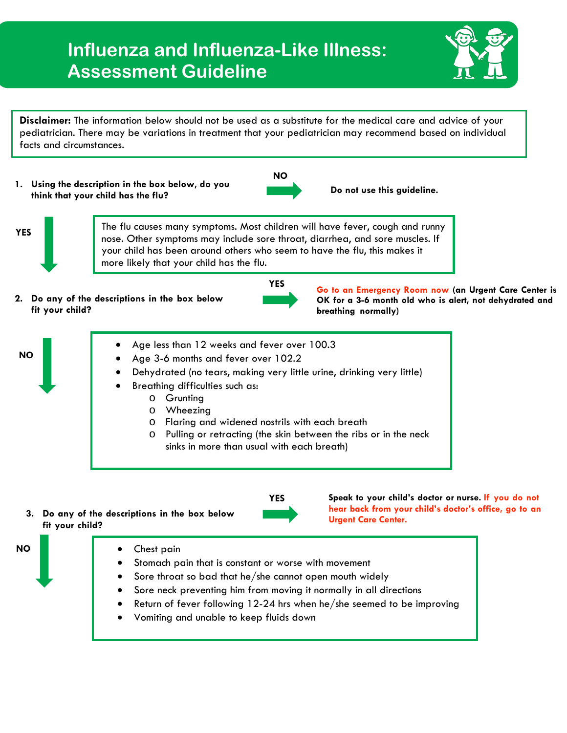## **Influenza and Influenza-Like Illness: Assessment Guideline**



**Disclaimer:** The information below should not be used as a substitute for the medical care and advice of your pediatrician. There may be variations in treatment that your pediatrician may recommend based on individual facts and circumstances.

**1. Using the description in the box below, do you think that your child has the flu? Do not use this guideline.** 



**YES** The flu causes many symptoms. Most children will have fever, cough and runny nose. Other symptoms may include sore throat, diarrhea, and sore muscles. If your child has been around others who seem to have the flu, this makes it more likely that your child has the flu.

**2. Do any of the descriptions in the box below fit your child?**



**YES Go to an Emergency Room now (an Urgent Care Center is OK for a 3-6 month old who is alert, not dehydrated and breathing normally)**



**fit your child?**



**hear back from your child's doctor's office, go to an Urgent Care Center.**

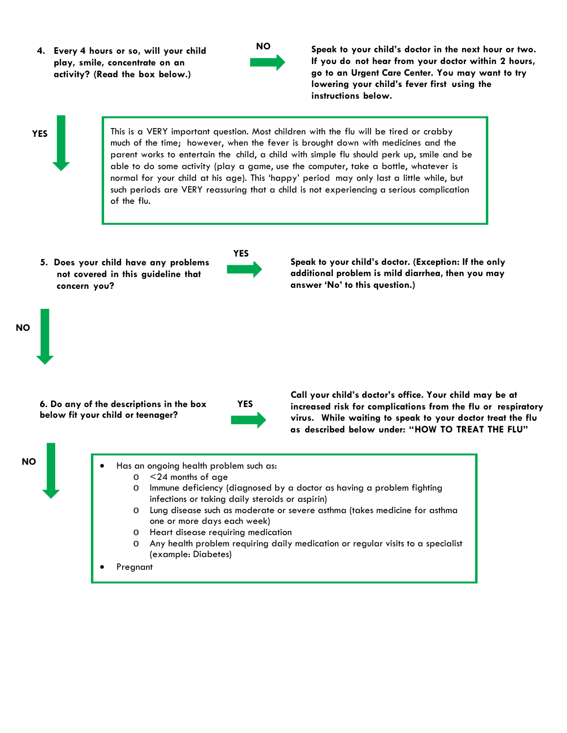**4. Every 4 hours or so, will your child play, smile, concentrate on an activity? (Read the box below.)**



**Speak to your child's doctor in the next hour or two. If you do not hear from your doctor within 2 hours, go to an Urgent Care Center. You may want to try lowering your child's fever first using the instructions below.**

## **YES**

This is a VERY important question. Most children with the flu will be tired or crabby much of the time; however, when the fever is brought down with medicines and the parent works to entertain the child, a child with simple flu should perk up, smile and be able to do some activity (play a game, use the computer, take a bottle, whatever is normal for your child at his age). This 'happy' period may only last a little while, but such periods are VERY reassuring that a child is not experiencing a serious complication of the flu.

**5. Does your child have any problems not covered in this guideline that concern you?**



**Speak to your child's doctor. (Exception: If the only additional problem is mild diarrhea, then you may answer 'No' to this question.)**

**6. Do any of the descriptions in the box below fit your child or teenager?**



**Call your child's doctor's office. Your child may be at increased risk for complications from the flu or respiratory virus. While waiting to speak to your doctor treat the flu as described below under: "HOW TO TREAT THE FLU"**



**NO**

- Has an ongoing health problem such as:  $\circ$  <24 months of age<br> $\circ$  lmmune deficiency (
	- Immune deficiency (diagnosed by a doctor as having a problem fighting infections or taking daily steroids or aspirin)
	- Lung disease such as moderate or severe asthma (takes medicine for asthma one or more days each week)
	- o Heart disease requiring medication
	- Any health problem requiring daily medication or regular visits to a specialist (example: Diabetes)
- **Pregnant**